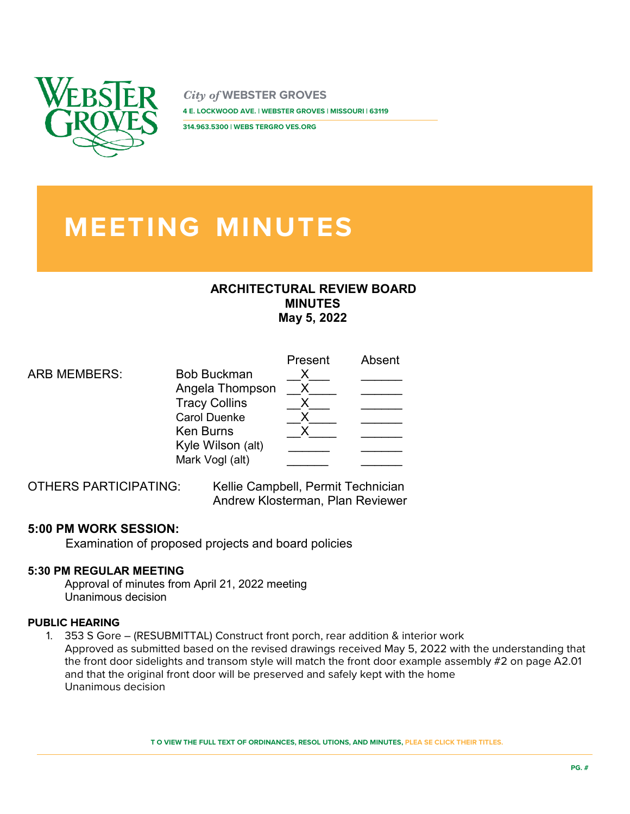

*City of* **WEBSTER GROVES 4 E. LOCKWOOD AVE. | WEBSTER GROVES | MISSOURI | 63119** 

**314.963.5300 | WEBS TERGRO VES.ORG** 

# **MEETING MINUTES**

## **ARCHITECTURAL REVIEW BOARD MINUTES May 5, 2022**

|                     |                                      | Present | Absent |
|---------------------|--------------------------------------|---------|--------|
| <b>ARB MEMBERS:</b> | <b>Bob Buckman</b>                   |         |        |
|                     | Angela Thompson                      |         |        |
|                     | <b>Tracy Collins</b>                 |         |        |
|                     | <b>Carol Duenke</b>                  |         |        |
|                     | <b>Ken Burns</b>                     |         |        |
|                     | Kyle Wilson (alt)<br>Mark Vogl (alt) |         |        |
|                     |                                      |         |        |

OTHERS PARTICIPATING: Kellie Campbell, Permit Technician Andrew Klosterman, Plan Reviewer

# **5:00 PM WORK SESSION:**

Examination of proposed projects and board policies

## **5:30 PM REGULAR MEETING**

Approval of minutes from April 21, 2022 meeting Unanimous decision

### **PUBLIC HEARING**

1. 353 S Gore – (RESUBMITTAL) Construct front porch, rear addition & interior work Approved as submitted based on the revised drawings received May 5, 2022 with the understanding that the front door sidelights and transom style will match the front door example assembly #2 on page A2.01 and that the original front door will be preserved and safely kept with the home Unanimous decision

**T O VIEW THE FULL TEXT OF ORDINANCES, RESOL UTIONS, AND MINUTES, PLEA SE CLICK THEIR TITLES.**